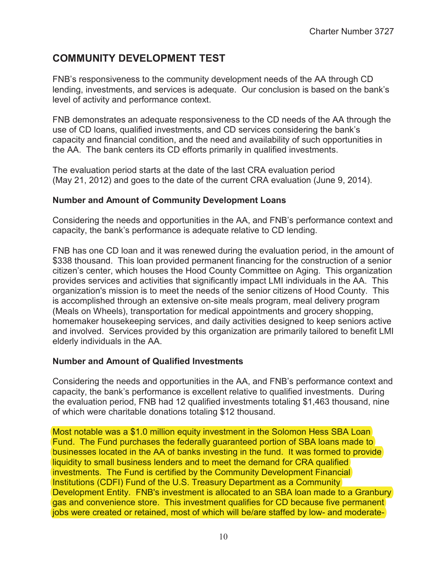## **COMMUNITY DEVELOPMENT TEST**

FNB's responsiveness to the community development needs of the AA through CD lending, investments, and services is adequate. Our conclusion is based on the bank's level of activity and performance context.

FNB demonstrates an adequate responsiveness to the CD needs of the AA through the use of CD loans, qualified investments, and CD services considering the bank's capacity and financial condition, and the need and availability of such opportunities in the AA. The bank centers its CD efforts primarily in qualified investments.

The evaluation period starts at the date of the last CRA evaluation period (May 21, 2012) and goes to the date of the current CRA evaluation (June 9, 2014).

## **Number and Amount of Community Development Loans**

Considering the needs and opportunities in the AA, and FNB's performance context and capacity, the bank's performance is adequate relative to CD lending.

FNB has one CD loan and it was renewed during the evaluation period, in the amount of \$338 thousand. This loan provided permanent financing for the construction of a senior citizen's center, which houses the Hood County Committee on Aging. This organization provides services and activities that significantly impact LMI individuals in the AA. This organization's mission is to meet the needs of the senior citizens of Hood County. This is accomplished through an extensive on-site meals program, meal delivery program (Meals on Wheels), transportation for medical appointments and grocery shopping, homemaker housekeeping services, and daily activities designed to keep seniors active and involved. Services provided by this organization are primarily tailored to benefit LMI elderly individuals in the AA.

## **Number and Amount of Qualified Investments**

Considering the needs and opportunities in the AA, and FNB's performance context and capacity, the bank's performance is excellent relative to qualified investments. During the evaluation period, FNB had 12 qualified investments totaling \$1,463 thousand, nine of which were charitable donations totaling \$12 thousand.

Most notable was a \$1.0 million equity investment in the Solomon Hess SBA Loan]<br>Fund. The Fund purchases the federally guaranteed portion of SBA loans made to Fund. The Fund purchases the federally guaranteed portion of SBA loans made to businesses located in the AA of banks investing in the fund. It was formed to provide liquidity to small business lenders and to meet the demand for CRA qualified investments. The Fund is certified by the Community Development Financial Institutions (CDFI) Fund of the U.S. Treasury Department as a Community Development Entity. FNB's investment is allocated to an SBA loan made to a Granbury gas and convenience store. This investment qualifies for CD because five permanent jobs were created or retained, most of which will be/are staffed by low- and moderatebusinesses located in the AA of banks investing in the fund. It was formed<br>Iiquidity to small business lenders and to meet the demand for CRA qualific<br>investments. The Fund is certified by the Community Development Finand<br> Development Entity. FNB's investment is allocated to an SBA loan made to a Granbu<br>gas and convenience store. This investment qualifies for CD because five permanent<br>jobs were created or retained, most of which will be/ar